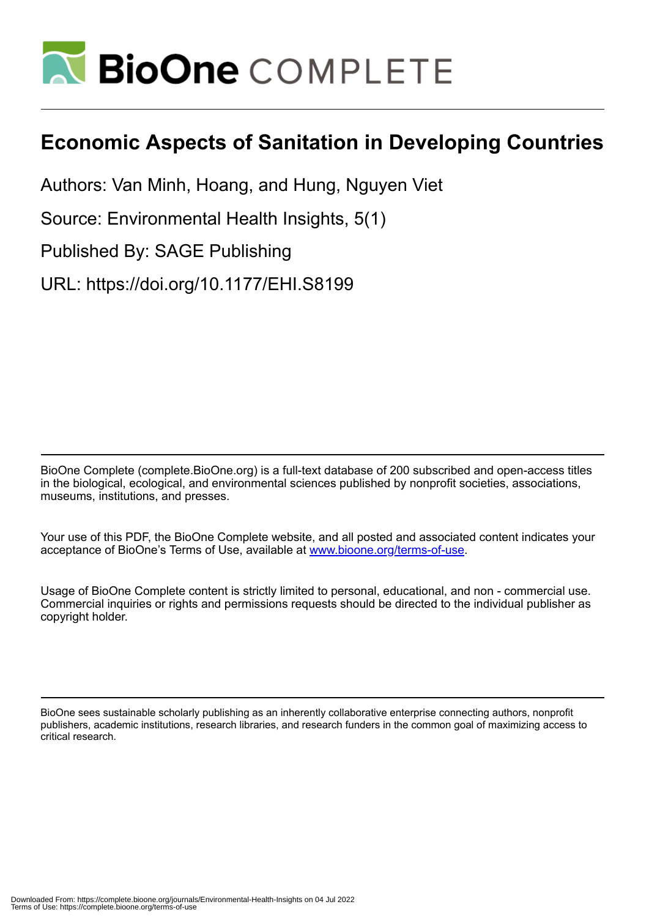

# **Economic Aspects of Sanitation in Developing Countries**

Authors: Van Minh, Hoang, and Hung, Nguyen Viet

Source: Environmental Health Insights, 5(1)

Published By: SAGE Publishing

URL: https://doi.org/10.1177/EHI.S8199

BioOne Complete (complete.BioOne.org) is a full-text database of 200 subscribed and open-access titles in the biological, ecological, and environmental sciences published by nonprofit societies, associations, museums, institutions, and presses.

Your use of this PDF, the BioOne Complete website, and all posted and associated content indicates your acceptance of BioOne's Terms of Use, available at www.bioone.org/terms-of-use.

Usage of BioOne Complete content is strictly limited to personal, educational, and non - commercial use. Commercial inquiries or rights and permissions requests should be directed to the individual publisher as copyright holder.

BioOne sees sustainable scholarly publishing as an inherently collaborative enterprise connecting authors, nonprofit publishers, academic institutions, research libraries, and research funders in the common goal of maximizing access to critical research.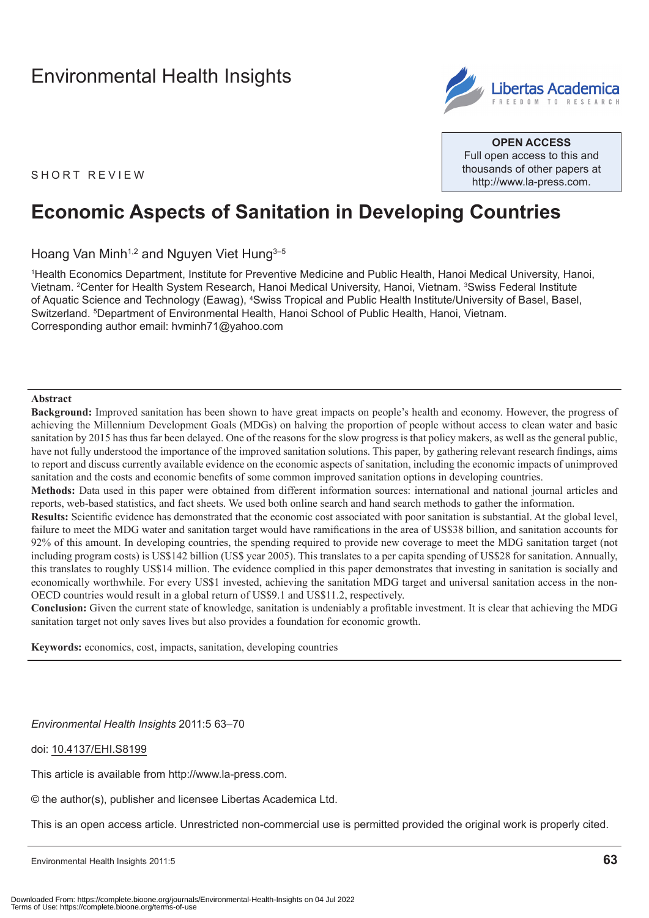

**Open Access** Full open access to this and thousands of other papers at <http://www.la-press.com>.

SHORT REVIEW

# **Economic Aspects of Sanitation in Developing Countries**

Hoang Van Minh<sup>1,2</sup> and Nguyen Viet Hung<sup>3-5</sup>

1 Health Economics Department, Institute for Preventive Medicine and Public Health, Hanoi Medical University, Hanoi, Vietnam. <sup>2</sup>Center for Health System Research, Hanoi Medical University, Hanoi, Vietnam. <sup>3</sup>Swiss Federal Institute of Aquatic Science and Technology (Eawag), <sup>4</sup>Swiss Tropical and Public Health Institute/University of Basel, Basel, Switzerland. 5 Department of Environmental Health, Hanoi School of Public Health, Hanoi, Vietnam. Corresponding author email: [hvminh71@yahoo.com](mailto:hvminh71@yahoo.com)

#### **Abstract**

**Background:** Improved sanitation has been shown to have great impacts on people's health and economy. However, the progress of achieving the Millennium Development Goals (MDGs) on halving the proportion of people without access to clean water and basic sanitation by 2015 has thus far been delayed. One of the reasons for the slow progress is that policy makers, as well as the general public, have not fully understood the importance of the improved sanitation solutions. This paper, by gathering relevant research findings, aims to report and discuss currently available evidence on the economic aspects of sanitation, including the economic impacts of unimproved sanitation and the costs and economic benefits of some common improved sanitation options in developing countries.

**Methods:** Data used in this paper were obtained from different information sources: international and national journal articles and reports, web-based statistics, and fact sheets. We used both online search and hand search methods to gather the information.

**Results:** Scientific evidence has demonstrated that the economic cost associated with poor sanitation is substantial. At the global level, failure to meet the MDG water and sanitation target would have ramifications in the area of US\$38 billion, and sanitation accounts for 92% of this amount. In developing countries, the spending required to provide new coverage to meet the MDG sanitation target (not including program costs) is US\$142 billion (US\$ year 2005). This translates to a per capita spending of US\$28 for sanitation. Annually, this translates to roughly US\$14 million. The evidence complied in this paper demonstrates that investing in sanitation is socially and economically worthwhile. For every US\$1 invested, achieving the sanitation MDG target and universal sanitation access in the non-OECD countries would result in a global return of US\$9.1 and US\$11.2, respectively.

**Conclusion:** Given the current state of knowledge, sanitation is undeniably a profitable investment. It is clear that achieving the MDG sanitation target not only saves lives but also provides a foundation for economic growth.

**Keywords:** economics, cost, impacts, sanitation, developing countries

*Environmental Health Insights* 2011:5 63–70

doi: [10.4137/EHI.S8199](http://dx.doi.org/10.4137/EHI.S8199)

This article is available from [http://www.la-press.com.](http://www.la-press.com)

© the author(s), publisher and licensee Libertas Academica Ltd.

This is an open access article. Unrestricted non-commercial use is permitted provided the original work is properly cited.

Environmental Health Insights 2011:5 **63**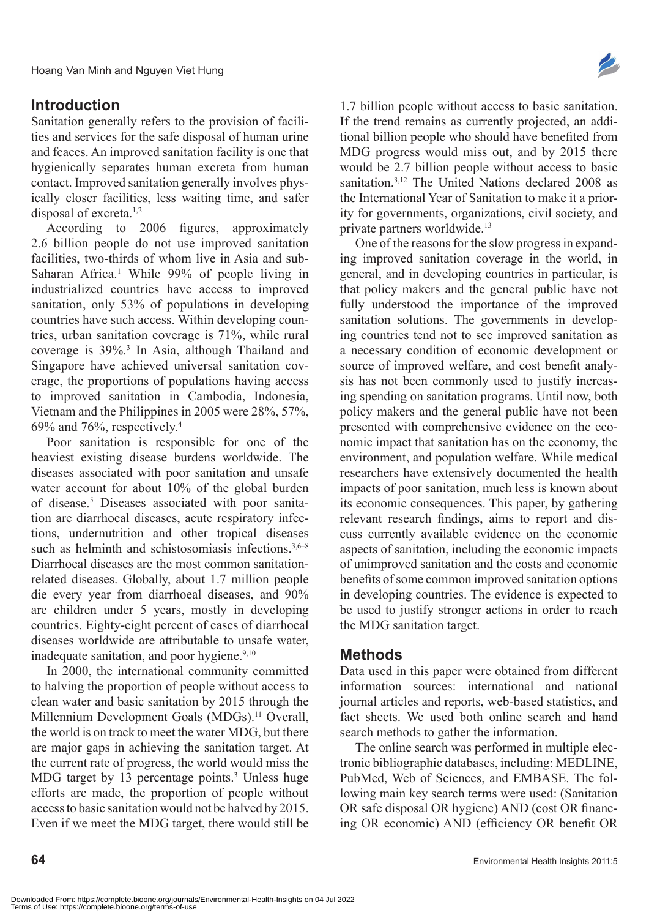# **Introduction**

Sanitation generally refers to the provision of facilities and services for the safe disposal of human urine and feaces. An improved sanitation facility is one that hygienically separates human excreta from human contact. Improved sanitation generally involves physically closer facilities, less waiting time, and safer disposal of excreta.<sup>1,2</sup>

According to 2006 figures, approximately 2.6 billion people do not use improved sanitation facilities, two-thirds of whom live in Asia and sub-Saharan Africa.<sup>1</sup> While 99% of people living in industrialized countries have access to improved sanitation, only 53% of populations in developing countries have such access. Within developing countries, urban sanitation coverage is 71%, while rural coverage is 39%.3 In Asia, although Thailand and Singapore have achieved universal sanitation coverage, the proportions of populations having access to improved sanitation in Cambodia, Indonesia, Vietnam and the Philippines in 2005 were 28%, 57%, 69% and 76%, respectively.4

Poor sanitation is responsible for one of the heaviest existing disease burdens worldwide. The diseases associated with poor sanitation and unsafe water account for about 10% of the global burden of disease.<sup>5</sup> Diseases associated with poor sanitation are diarrhoeal diseases, acute respiratory infections, undernutrition and other tropical diseases such as helminth and schistosomiasis infections.<sup>3,6–8</sup> Diarrhoeal diseases are the most common sanitationrelated diseases. Globally, about 1.7 million people die every year from diarrhoeal diseases, and 90% are children under 5 years, mostly in developing countries. Eighty-eight percent of cases of diarrhoeal diseases worldwide are attributable to unsafe water, inadequate sanitation, and poor hygiene.<sup>9,10</sup>

In 2000, the international community committed to halving the proportion of people without access to clean water and basic sanitation by 2015 through the Millennium Development Goals (MDGs).<sup>11</sup> Overall, the world is on track to meet the water MDG, but there are major gaps in achieving the sanitation target. At the current rate of progress, the world would miss the MDG target by 13 percentage points.<sup>3</sup> Unless huge efforts are made, the proportion of people without access to basic sanitation would not be halved by 2015. Even if we meet the MDG target, there would still be



1.7 billion people without access to basic sanitation. If the trend remains as currently projected, an additional billion people who should have benefited from MDG progress would miss out, and by 2015 there would be 2.7 billion people without access to basic sanitation.<sup>3,12</sup> The United Nations declared 2008 as the International Year of Sanitation to make it a priority for governments, organizations, civil society, and private partners worldwide.<sup>13</sup>

One of the reasons for the slow progress in expanding improved sanitation coverage in the world, in general, and in developing countries in particular, is that policy makers and the general public have not fully understood the importance of the improved sanitation solutions. The governments in developing countries tend not to see improved sanitation as a necessary condition of economic development or source of improved welfare, and cost benefit analysis has not been commonly used to justify increasing spending on sanitation programs. Until now, both policy makers and the general public have not been presented with comprehensive evidence on the economic impact that sanitation has on the economy, the environment, and population welfare. While medical researchers have extensively documented the health impacts of poor sanitation, much less is known about its economic consequences. This paper, by gathering relevant research findings, aims to report and discuss currently available evidence on the economic aspects of sanitation, including the economic impacts of unimproved sanitation and the costs and economic benefits of some common improved sanitation options in developing countries. The evidence is expected to be used to justify stronger actions in order to reach the MDG sanitation target.

## **Methods**

Data used in this paper were obtained from different information sources: international and national journal articles and reports, web-based statistics, and fact sheets. We used both online search and hand search methods to gather the information.

The online search was performed in multiple electronic bibliographic databases, including: MEDLINE, PubMed, Web of Sciences, and EMBASE. The following main key search terms were used: (Sanitation OR safe disposal OR hygiene) AND (cost OR financing OR economic) AND (efficiency OR benefit OR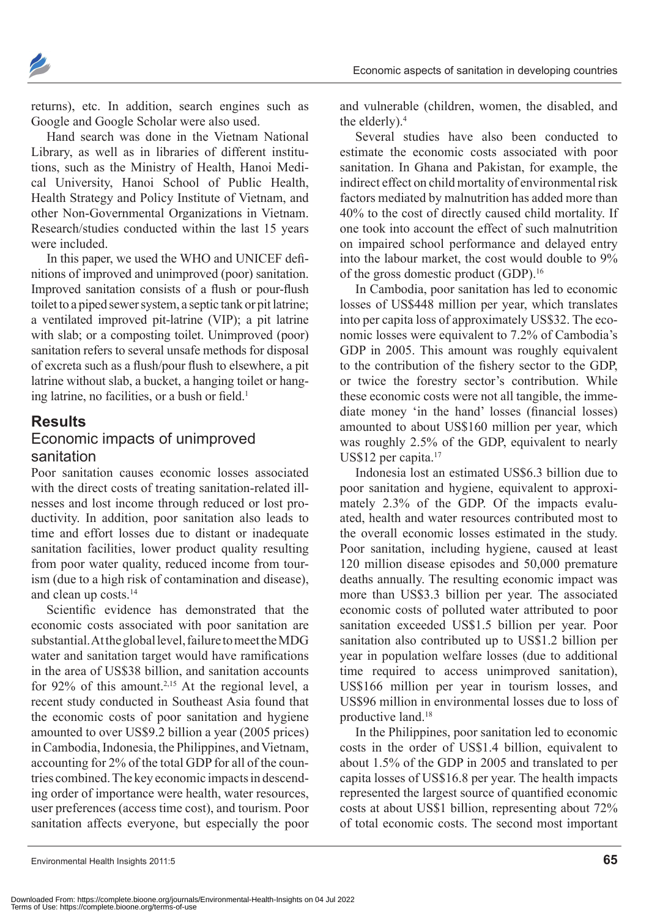

returns), etc. In addition, search engines such as Google and Google Scholar were also used.

Hand search was done in the Vietnam National Library, as well as in libraries of different institutions, such as the Ministry of Health, Hanoi Medical University, Hanoi School of Public Health, Health Strategy and Policy Institute of Vietnam, and other Non-Governmental Organizations in Vietnam. Research/studies conducted within the last 15 years were included.

In this paper, we used the WHO and UNICEF definitions of improved and unimproved (poor) sanitation. Improved sanitation consists of a flush or pour-flush toilet to a piped sewer system, a septic tank or pit latrine; a ventilated improved pit-latrine (VIP); a pit latrine with slab; or a composting toilet. Unimproved (poor) sanitation refers to several unsafe methods for disposal of excreta such as a flush/pour flush to elsewhere, a pit latrine without slab, a bucket, a hanging toilet or hanging latrine, no facilities, or a bush or field.<sup>1</sup>

## **Results**

## Economic impacts of unimproved sanitation

Poor sanitation causes economic losses associated with the direct costs of treating sanitation-related illnesses and lost income through reduced or lost productivity. In addition, poor sanitation also leads to time and effort losses due to distant or inadequate sanitation facilities, lower product quality resulting from poor water quality, reduced income from tourism (due to a high risk of contamination and disease), and clean up costs.<sup>14</sup>

Scientific evidence has demonstrated that the economic costs associated with poor sanitation are substantial. At the global level, failure to meet the MDG water and sanitation target would have ramifications in the area of US\$38 billion, and sanitation accounts for 92% of this amount.<sup>2,15</sup> At the regional level, a recent study conducted in Southeast Asia found that the economic costs of poor sanitation and hygiene amounted to over US\$9.2 billion a year (2005 prices) in Cambodia, Indonesia, the Philippines, and Vietnam, accounting for 2% of the total GDP for all of the countries combined. The key economic impacts in descending order of importance were health, water resources, user preferences (access time cost), and tourism. Poor sanitation affects everyone, but especially the poor

and vulnerable (children, women, the disabled, and the elderly).<sup>4</sup>

Several studies have also been conducted to estimate the economic costs associated with poor sanitation. In Ghana and Pakistan, for example, the indirect effect on child mortality of environmental risk factors mediated by malnutrition has added more than 40% to the cost of directly caused child mortality. If one took into account the effect of such malnutrition on impaired school performance and delayed entry into the labour market, the cost would double to 9% of the gross domestic product (GDP).<sup>16</sup>

In Cambodia, poor sanitation has led to economic losses of US\$448 million per year, which translates into per capita loss of approximately US\$32. The economic losses were equivalent to 7.2% of Cambodia's GDP in 2005. This amount was roughly equivalent to the contribution of the fishery sector to the GDP, or twice the forestry sector's contribution. While these economic costs were not all tangible, the immediate money 'in the hand' losses (financial losses) amounted to about US\$160 million per year, which was roughly 2.5% of the GDP, equivalent to nearly US\$12 per capita.<sup>17</sup>

Indonesia lost an estimated US\$6.3 billion due to poor sanitation and hygiene, equivalent to approximately 2.3% of the GDP. Of the impacts evaluated, health and water resources contributed most to the overall economic losses estimated in the study. Poor sanitation, including hygiene, caused at least 120 million disease episodes and 50,000 premature deaths annually. The resulting economic impact was more than US\$3.3 billion per year. The associated economic costs of polluted water attributed to poor sanitation exceeded US\$1.5 billion per year. Poor sanitation also contributed up to US\$1.2 billion per year in population welfare losses (due to additional time required to access unimproved sanitation), US\$166 million per year in tourism losses, and US\$96 million in environmental losses due to loss of productive land.<sup>18</sup>

In the Philippines, poor sanitation led to economic costs in the order of US\$1.4 billion, equivalent to about 1.5% of the GDP in 2005 and translated to per capita losses of US\$16.8 per year. The health impacts represented the largest source of quantified economic costs at about US\$1 billion, representing about 72% of total economic costs. The second most important

Environmental Health Insights 2011:5 **65**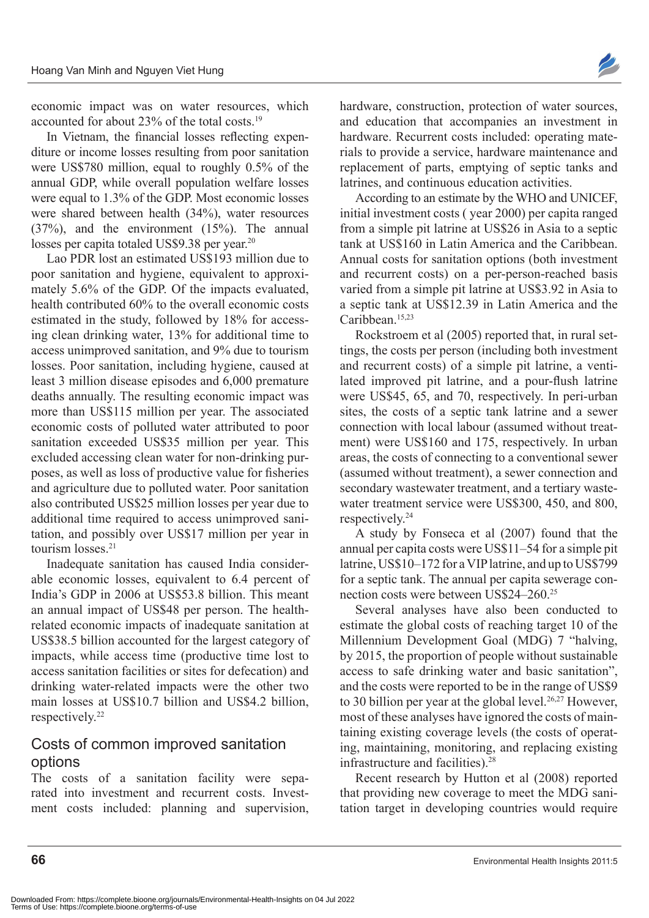economic impact was on water resources, which accounted for about 23% of the total costs.<sup>19</sup>

In Vietnam, the financial losses reflecting expenditure or income losses resulting from poor sanitation were US\$780 million, equal to roughly 0.5% of the annual GDP, while overall population welfare losses were equal to 1.3% of the GDP. Most economic losses were shared between health (34%), water resources (37%), and the environment (15%). The annual losses per capita totaled US\$9.38 per year.<sup>20</sup>

Lao PDR lost an estimated US\$193 million due to poor sanitation and hygiene, equivalent to approximately 5.6% of the GDP. Of the impacts evaluated, health contributed 60% to the overall economic costs estimated in the study, followed by 18% for accessing clean drinking water, 13% for additional time to access unimproved sanitation, and 9% due to tourism losses. Poor sanitation, including hygiene, caused at least 3 million disease episodes and 6,000 premature deaths annually. The resulting economic impact was more than US\$115 million per year. The associated economic costs of polluted water attributed to poor sanitation exceeded US\$35 million per year. This excluded accessing clean water for non-drinking purposes, as well as loss of productive value for fisheries and agriculture due to polluted water. Poor sanitation also contributed US\$25 million losses per year due to additional time required to access unimproved sanitation, and possibly over US\$17 million per year in tourism losses.<sup>21</sup>

Inadequate sanitation has caused India considerable economic losses, equivalent to 6.4 percent of India's GDP in 2006 at US\$53.8 billion. This meant an annual impact of US\$48 per person. The healthrelated economic impacts of inadequate sanitation at US\$38.5 billion accounted for the largest category of impacts, while access time (productive time lost to access sanitation facilities or sites for defecation) and drinking water-related impacts were the other two main losses at US\$10.7 billion and US\$4.2 billion, respectively.22

## Costs of common improved sanitation options

The costs of a sanitation facility were separated into investment and recurrent costs. Investment costs included: planning and supervision, hardware, construction, protection of water sources, and education that accompanies an investment in hardware. Recurrent costs included: operating materials to provide a service, hardware maintenance and replacement of parts, emptying of septic tanks and latrines, and continuous education activities.

According to an estimate by the WHO and UNICEF, initial investment costs ( year 2000) per capita ranged from a simple pit latrine at US\$26 in Asia to a septic tank at US\$160 in Latin America and the Caribbean. Annual costs for sanitation options (both investment and recurrent costs) on a per-person-reached basis varied from a simple pit latrine at US\$3.92 in Asia to a septic tank at US\$12.39 in Latin America and the Caribbean.<sup>15,23</sup>

Rockstroem et al (2005) reported that, in rural settings, the costs per person (including both investment and recurrent costs) of a simple pit latrine, a ventilated improved pit latrine, and a pour-flush latrine were US\$45, 65, and 70, respectively. In peri-urban sites, the costs of a septic tank latrine and a sewer connection with local labour (assumed without treatment) were US\$160 and 175, respectively. In urban areas, the costs of connecting to a conventional sewer (assumed without treatment), a sewer connection and secondary wastewater treatment, and a tertiary wastewater treatment service were US\$300, 450, and 800, respectively.<sup>24</sup>

A study by Fonseca et al (2007) found that the annual per capita costs were US\$11–54 for a simple pit latrine, US\$10–172 for a VIP latrine, and up to US\$799 for a septic tank. The annual per capita sewerage connection costs were between US\$24–260.<sup>25</sup>

Several analyses have also been conducted to estimate the global costs of reaching target 10 of the Millennium Development Goal (MDG) 7 "halving, by 2015, the proportion of people without sustainable access to safe drinking water and basic sanitation", and the costs were reported to be in the range of US\$9 to 30 billion per year at the global level.<sup>26,27</sup> However, most of these analyses have ignored the costs of maintaining existing coverage levels (the costs of operating, maintaining, monitoring, and replacing existing infrastructure and facilities).<sup>28</sup>

Recent research by Hutton et al (2008) reported that providing new coverage to meet the MDG sanitation target in developing countries would require

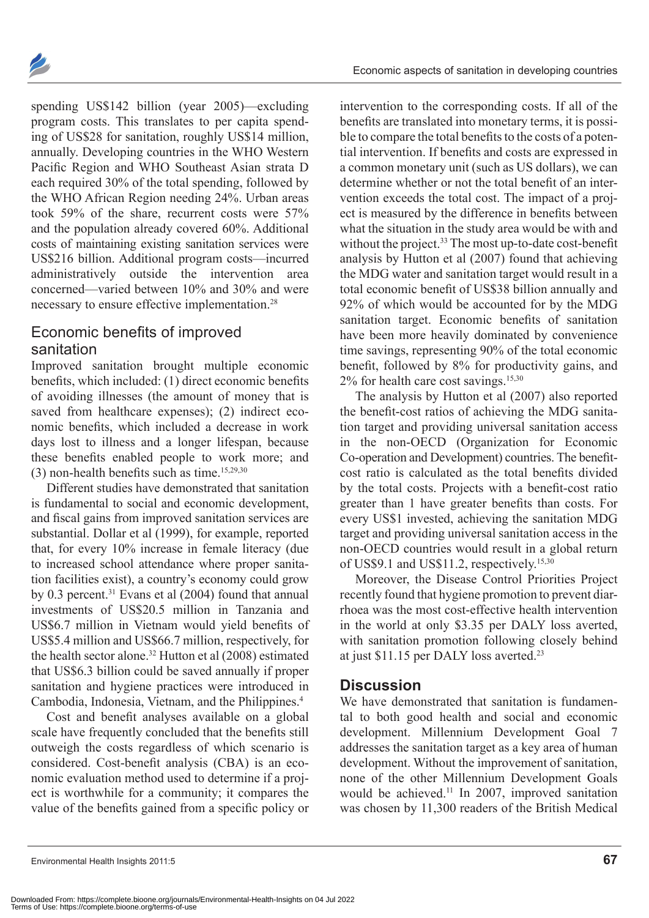

spending US\$142 billion (year 2005)—excluding program costs. This translates to per capita spending of US\$28 for sanitation, roughly US\$14 million, annually. Developing countries in the WHO Western Pacific Region and WHO Southeast Asian strata D each required 30% of the total spending, followed by the WHO African Region needing 24%. Urban areas took 59% of the share, recurrent costs were 57% and the population already covered 60%. Additional costs of maintaining existing sanitation services were US\$216 billion. Additional program costs—incurred administratively outside the intervention area concerned—varied between 10% and 30% and were necessary to ensure effective implementation.<sup>28</sup>

## Economic benefits of improved sanitation

Improved sanitation brought multiple economic benefits, which included: (1) direct economic benefits of avoiding illnesses (the amount of money that is saved from healthcare expenses); (2) indirect economic benefits, which included a decrease in work days lost to illness and a longer lifespan, because these benefits enabled people to work more; and  $(3)$  non-health benefits such as time.<sup>15,29,30</sup>

Different studies have demonstrated that sanitation is fundamental to social and economic development, and fiscal gains from improved sanitation services are substantial. Dollar et al (1999), for example, reported that, for every 10% increase in female literacy (due to increased school attendance where proper sanitation facilities exist), a country's economy could grow by 0.3 percent.<sup>31</sup> Evans et al  $(2004)$  found that annual investments of US\$20.5 million in Tanzania and US\$6.7 million in Vietnam would yield benefits of US\$5.4 million and US\$66.7 million, respectively, for the health sector alone.<sup>32</sup> Hutton et al (2008) estimated that US\$6.3 billion could be saved annually if proper sanitation and hygiene practices were introduced in Cambodia, Indonesia, Vietnam, and the Philippines.<sup>4</sup>

Cost and benefit analyses available on a global scale have frequently concluded that the benefits still outweigh the costs regardless of which scenario is considered. Cost-benefit analysis (CBA) is an economic evaluation method used to determine if a project is worthwhile for a community; it compares the value of the benefits gained from a specific policy or

intervention to the corresponding costs. If all of the benefits are translated into monetary terms, it is possible to compare the total benefits to the costs of a potential intervention. If benefits and costs are expressed in a common monetary unit (such as US dollars), we can determine whether or not the total benefit of an intervention exceeds the total cost. The impact of a project is measured by the difference in benefits between what the situation in the study area would be with and without the project.<sup>33</sup> The most up-to-date cost-benefit analysis by Hutton et al (2007) found that achieving the MDG water and sanitation target would result in a total economic benefit of US\$38 billion annually and 92% of which would be accounted for by the MDG sanitation target. Economic benefits of sanitation have been more heavily dominated by convenience time savings, representing 90% of the total economic benefit, followed by 8% for productivity gains, and  $2\%$  for health care cost savings.<sup>15,30</sup>

The analysis by Hutton et al (2007) also reported the benefit-cost ratios of achieving the MDG sanitation target and providing universal sanitation access in the non-OECD (Organization for Economic Co-operation and Development) countries. The benefitcost ratio is calculated as the total benefits divided by the total costs. Projects with a benefit-cost ratio greater than 1 have greater benefits than costs. For every US\$1 invested, achieving the sanitation MDG target and providing universal sanitation access in the non-OECD countries would result in a global return of US\$9.1 and US\$11.2, respectively.<sup>15,30</sup>

Moreover, the Disease Control Priorities Project recently found that hygiene promotion to prevent diarrhoea was the most cost-effective health intervention in the world at only \$3.35 per DALY loss averted, with sanitation promotion following closely behind at just \$11.15 per DALY loss averted.23

## **Discussion**

We have demonstrated that sanitation is fundamental to both good health and social and economic development. Millennium Development Goal 7 addresses the sanitation target as a key area of human development. Without the improvement of sanitation, none of the other Millennium Development Goals would be achieved.<sup>11</sup> In 2007, improved sanitation was chosen by 11,300 readers of the British Medical

Environmental Health Insights 2011:5 **67**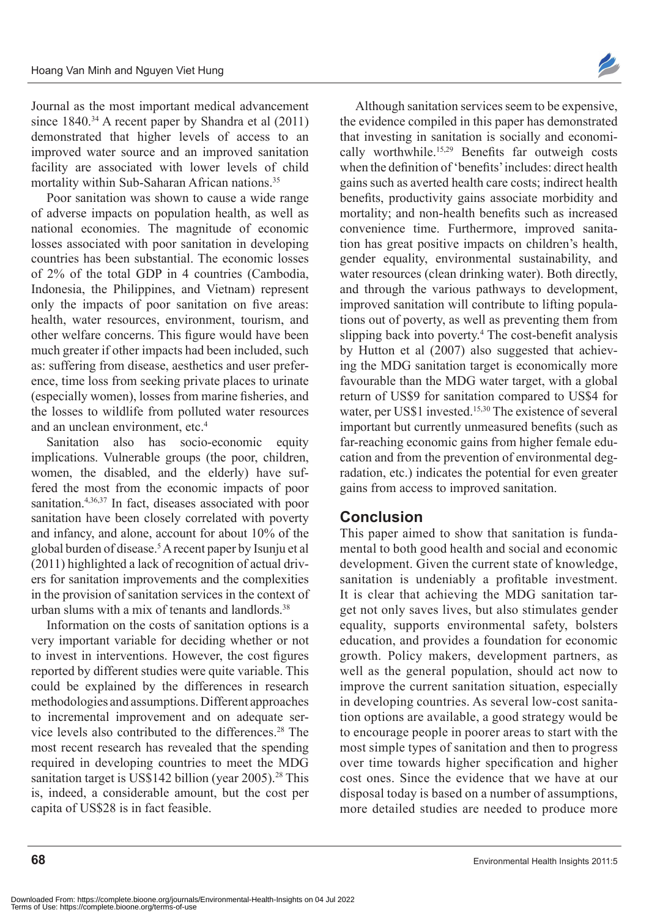Journal as the most important medical advancement since 1840.<sup>34</sup> A recent paper by Shandra et al (2011) demonstrated that higher levels of access to an improved water source and an improved sanitation facility are associated with lower levels of child mortality within Sub-Saharan African nations.<sup>35</sup>

Poor sanitation was shown to cause a wide range of adverse impacts on population health, as well as national economies. The magnitude of economic losses associated with poor sanitation in developing countries has been substantial. The economic losses of 2% of the total GDP in 4 countries (Cambodia, Indonesia, the Philippines, and Vietnam) represent only the impacts of poor sanitation on five areas: health, water resources, environment, tourism, and other welfare concerns. This figure would have been much greater if other impacts had been included, such as: suffering from disease, aesthetics and user preference, time loss from seeking private places to urinate (especially women), losses from marine fisheries, and the losses to wildlife from polluted water resources and an unclean environment, etc.<sup>4</sup>

Sanitation also has socio-economic equity implications. Vulnerable groups (the poor, children, women, the disabled, and the elderly) have suffered the most from the economic impacts of poor sanitation.<sup>4,36,37</sup> In fact, diseases associated with poor sanitation have been closely correlated with poverty and infancy, and alone, account for about 10% of the global burden of disease.5 A recent paper by Isunju et al (2011) highlighted a lack of recognition of actual drivers for sanitation improvements and the complexities in the provision of sanitation services in the context of urban slums with a mix of tenants and landlords  $38$ 

Information on the costs of sanitation options is a very important variable for deciding whether or not to invest in interventions. However, the cost figures reported by different studies were quite variable. This could be explained by the differences in research methodologies and assumptions. Different approaches to incremental improvement and on adequate service levels also contributed to the differences.<sup>28</sup> The most recent research has revealed that the spending required in developing countries to meet the MDG sanitation target is US\$142 billion (year  $2005$ ).<sup>28</sup> This is, indeed, a considerable amount, but the cost per capita of US\$28 is in fact feasible.

Although sanitation services seem to be expensive, the evidence compiled in this paper has demonstrated that investing in sanitation is socially and economically worthwhile.15,29 Benefits far outweigh costs when the definition of 'benefits' includes: direct health gains such as averted health care costs; indirect health benefits, productivity gains associate morbidity and mortality; and non-health benefits such as increased convenience time. Furthermore, improved sanitation has great positive impacts on children's health, gender equality, environmental sustainability, and water resources (clean drinking water). Both directly, and through the various pathways to development, improved sanitation will contribute to lifting populations out of poverty, as well as preventing them from slipping back into poverty.<sup>4</sup> The cost-benefit analysis by Hutton et al (2007) also suggested that achieving the MDG sanitation target is economically more favourable than the MDG water target, with a global return of US\$9 for sanitation compared to US\$4 for water, per US\$1 invested.<sup>15,30</sup> The existence of several important but currently unmeasured benefits (such as far-reaching economic gains from higher female education and from the prevention of environmental degradation, etc.) indicates the potential for even greater gains from access to improved sanitation.

## **Conclusion**

This paper aimed to show that sanitation is fundamental to both good health and social and economic development. Given the current state of knowledge, sanitation is undeniably a profitable investment. It is clear that achieving the MDG sanitation target not only saves lives, but also stimulates gender equality, supports environmental safety, bolsters education, and provides a foundation for economic growth. Policy makers, development partners, as well as the general population, should act now to improve the current sanitation situation, especially in developing countries. As several low-cost sanitation options are available, a good strategy would be to encourage people in poorer areas to start with the most simple types of sanitation and then to progress over time towards higher specification and higher cost ones. Since the evidence that we have at our disposal today is based on a number of assumptions, more detailed studies are needed to produce more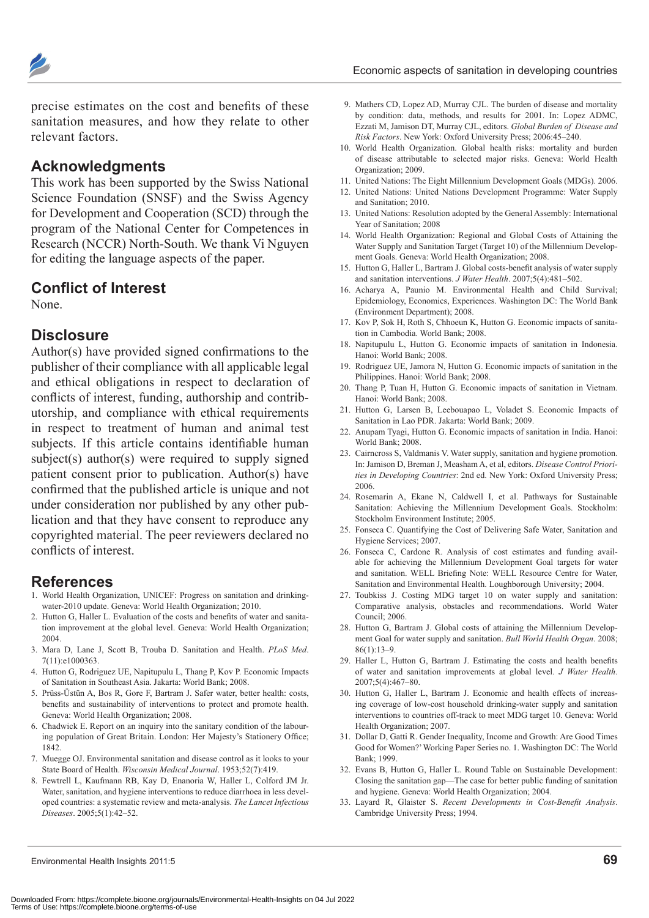

precise estimates on the cost and benefits of these sanitation measures, and how they relate to other relevant factors.

## **Acknowledgments**

This work has been supported by the Swiss National Science Foundation (SNSF) and the Swiss Agency for Development and Cooperation (SCD) through the program of the National Center for Competences in Research (NCCR) North-South. We thank Vi Nguyen for editing the language aspects of the paper.

## **Conflict of Interest**

None.

#### **Disclosure**

Author(s) have provided signed confirmations to the publisher of their compliance with all applicable legal and ethical obligations in respect to declaration of conflicts of interest, funding, authorship and contributorship, and compliance with ethical requirements in respect to treatment of human and animal test subjects. If this article contains identifiable human subject(s) author(s) were required to supply signed patient consent prior to publication. Author(s) have confirmed that the published article is unique and not under consideration nor published by any other publication and that they have consent to reproduce any copyrighted material. The peer reviewers declared no conflicts of interest.

#### **References**

- 1. World Health Organization, UNICEF: Progress on sanitation and drinkingwater-2010 update. Geneva: World Health Organization; 2010.
- 2. Hutton G, Haller L. Evaluation of the costs and benefits of water and sanitation improvement at the global level. Geneva: World Health Organization; 2004.
- 3. Mara D, Lane J, Scott B, Trouba D. Sanitation and Health. *PLoS Med*. 7(11):e1000363.
- 4. Hutton G, Rodriguez UE, Napitupulu L, Thang P, Kov P. Economic Impacts of Sanitation in Southeast Asia. Jakarta: World Bank; 2008.
- 5. Prüss-Üstün A, Bos R, Gore F, Bartram J. Safer water, better health: costs, benefits and sustainability of interventions to protect and promote health. Geneva: World Health Organization; 2008.
- 6. Chadwick E. Report on an inquiry into the sanitary condition of the labouring population of Great Britain. London: Her Majesty's Stationery Office; 1842.
- 7. Muegge OJ. Environmental sanitation and disease control as it looks to your State Board of Health. *Wisconsin Medical Journal*. 1953;52(7):419.
- 8. Fewtrell L, Kaufmann RB, Kay D, Enanoria W, Haller L, Colford JM Jr. Water, sanitation, and hygiene interventions to reduce diarrhoea in less developed countries: a systematic review and meta-analysis. *The Lancet Infectious Diseases*. 2005;5(1):42–52.
- 9. Mathers CD, Lopez AD, Murray CJL. The burden of disease and mortality by condition: data, methods, and results for 2001. In: Lopez ADMC, Ezzati M, Jamison DT, Murray CJL, editors. *Global Burden of Disease and Risk Factors*. New York: Oxford University Press; 2006:45–240.
- 10. World Health Organization. Global health risks: mortality and burden of disease attributable to selected major risks. Geneva: World Health Organization; 2009.
- 11. United Nations: The Eight Millennium Development Goals (MDGs). 2006.
- 12. United Nations: United Nations Development Programme: Water Supply and Sanitation; 2010.
- 13. United Nations: Resolution adopted by the General Assembly: International Year of Sanitation; 2008
- 14. World Health Organization: Regional and Global Costs of Attaining the Water Supply and Sanitation Target (Target 10) of the Millennium Development Goals. Geneva: World Health Organization; 2008.
- 15. Hutton G, Haller L, Bartram J. Global costs-benefit analysis of water supply and sanitation interventions. *J Water Health*. 2007;5(4):481–502.
- 16. Acharya A, Paunio M. Environmental Health and Child Survival; Epidemiology, Economics, Experiences. Washington DC: The World Bank (Environment Department); 2008.
- 17. Kov P, Sok H, Roth S, Chhoeun K, Hutton G. Economic impacts of sanitation in Cambodia. World Bank; 2008.
- 18. Napitupulu L, Hutton G. Economic impacts of sanitation in Indonesia. Hanoi: World Bank; 2008.
- 19. Rodriguez UE, Jamora N, Hutton G. Economic impacts of sanitation in the Philippines. Hanoi: World Bank; 2008.
- 20. Thang P, Tuan H, Hutton G. Economic impacts of sanitation in Vietnam. Hanoi: World Bank; 2008.
- 21. Hutton G, Larsen B, Leebouapao L, Voladet S. Economic Impacts of Sanitation in Lao PDR. Jakarta: World Bank; 2009.
- 22. Anupam Tyagi, Hutton G. Economic impacts of sanitation in India. Hanoi: World Bank; 2008.
- 23. Cairncross S, Valdmanis V. Water supply, sanitation and hygiene promotion. In: Jamison D, Breman J, Measham A, et al, editors. *Disease Control Priorities in Developing Countries*: 2nd ed. New York: Oxford University Press; 2006.
- 24. Rosemarin A, Ekane N, Caldwell I, et al. Pathways for Sustainable Sanitation: Achieving the Millennium Development Goals. Stockholm: Stockholm Environment Institute; 2005.
- 25. Fonseca C. Quantifying the Cost of Delivering Safe Water, Sanitation and Hygiene Services; 2007.
- 26. Fonseca C, Cardone R. Analysis of cost estimates and funding available for achieving the Millennium Development Goal targets for water and sanitation. WELL Briefing Note: WELL Resource Centre for Water, Sanitation and Environmental Health. Loughborough University; 2004.
- 27. Toubkiss J. Costing MDG target 10 on water supply and sanitation: Comparative analysis, obstacles and recommendations. World Water Council; 2006.
- 28. Hutton G, Bartram J. Global costs of attaining the Millennium Development Goal for water supply and sanitation. *Bull World Health Organ*. 2008;  $86(1)$ :13–9
- 29. Haller L, Hutton G, Bartram J. Estimating the costs and health benefits of water and sanitation improvements at global level. *J Water Health*.  $2007.5(4)$ :467–80.
- 30. Hutton G, Haller L, Bartram J. Economic and health effects of increasing coverage of low-cost household drinking-water supply and sanitation interventions to countries off-track to meet MDG target 10. Geneva: World Health Organization; 2007.
- 31. Dollar D, Gatti R. Gender Inequality, Income and Growth: Are Good Times Good for Women?' Working Paper Series no. 1. Washington DC: The World Bank; 1999.
- 32. Evans B, Hutton G, Haller L. Round Table on Sustainable Development: Closing the sanitation gap—The case for better public funding of sanitation and hygiene. Geneva: World Health Organization; 2004.
- 33. Layard R, Glaister S. *Recent Developments in Cost-Benefit Analysis*. Cambridge University Press; 1994.

Environmental Health Insights 2011:5 **69**